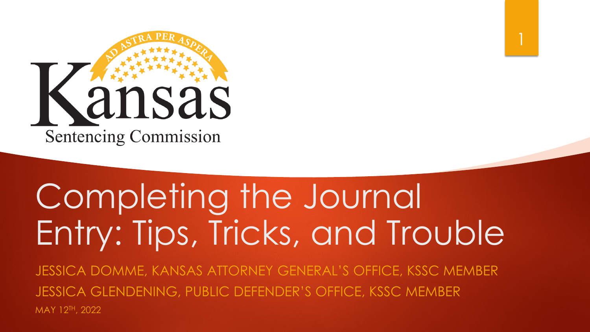

# Completing the Journal Entry: Tips, Tricks, and Trouble

1

JESSICA DOMME, KANSAS ATTORNEY GENERAL'S OFFICE, KSSC MEMBER JESSICA GLENDENING, PUBLIC DEFENDER'S OFFICE, KSSC MEMBER MAY 12TH, 2022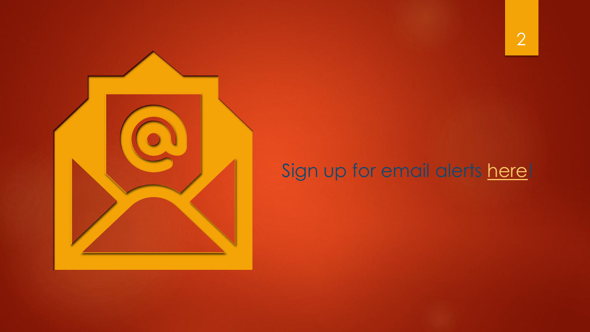

#### Sign up for email alerts [here](https://public.govdelivery.com/accounts/KSSC/subscriber/new)!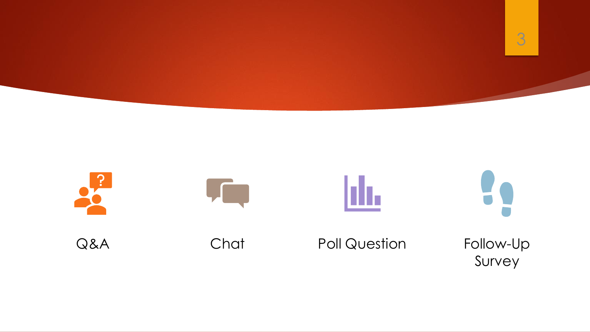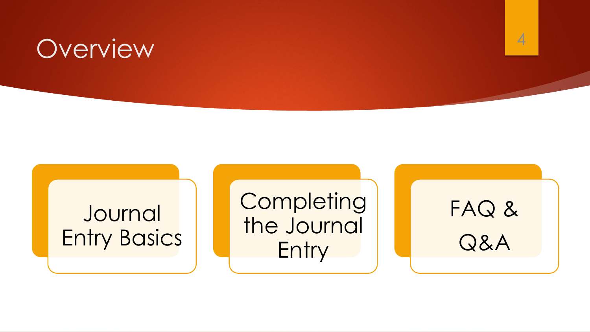## **Overview**

#### **Journal** Entry Basics

**Completing** the Journal **Entry** 

# FAQ & Q&A

4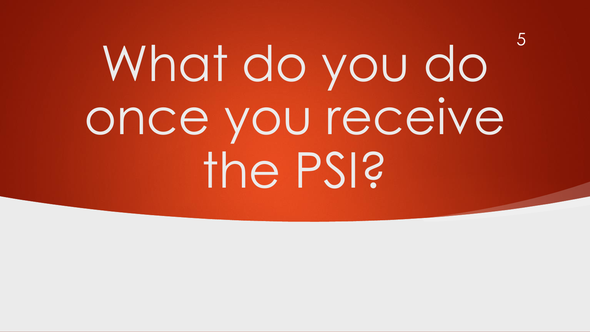# What do you do once you receive the PSI?

5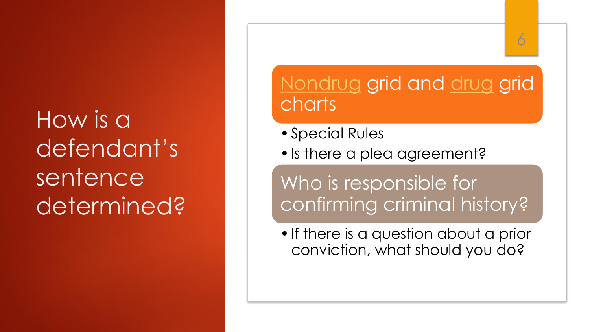# How is a defendant's sentence determined?

#### [Nondrug](https://cdn.oits.ks.gov/media/docs/sentencinglibraries/2021-forms/2021-forms/2021_nondrug_grid.pdf?sfvrsn=6c6e39_3) grid and [drug](https://cdn.oits.ks.gov/media/docs/sentencinglibraries/2021-forms/2021-forms/2021_drug-grid.pdf?sfvrsn=d8e7013c_3) grid charts

6

- •Special Rules
- •Is there a plea agreement?

Who is responsible for confirming criminal history?

• If there is a question about a prior conviction, what should you do?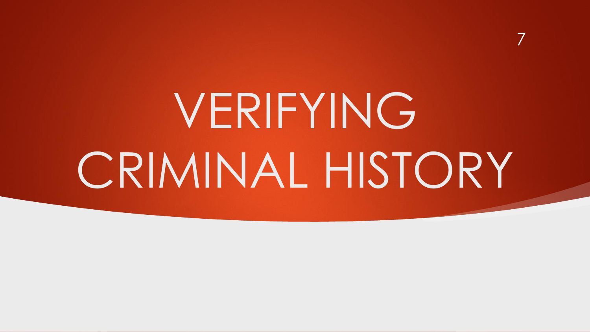VERIFYING CRIMINAL HISTORY

7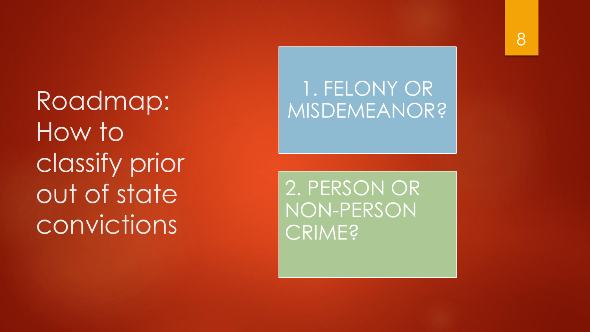Roadmap: How to classify prior out of state convictions

#### 1. FELONY OR MISDEMEANOR?

2. PERSON OR NON -PERSON CRIME?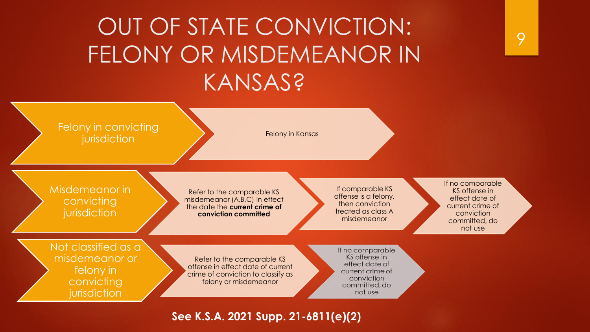### OUT OF STATE CONVICTION: FELONY OR MISDEMEANOR IN KANSAS?

| Felony in convicting<br>jurisdiction                                             | Felony in Kansas                                                                                                               |                                                                                                                   |                                                                                                                   |
|----------------------------------------------------------------------------------|--------------------------------------------------------------------------------------------------------------------------------|-------------------------------------------------------------------------------------------------------------------|-------------------------------------------------------------------------------------------------------------------|
| Misdemeanor in<br>convicting<br>jurisdiction                                     | Refer to the comparable KS<br>misdemeanor (A,B,C) in effect<br>the date the current crime of<br>conviction committed           | If comparable KS<br>offense is a felony,<br>then conviction<br>treated as class A<br>misdemeanor                  | If no comparable<br>KS offense in<br>effect date of<br>current crime of<br>conviction<br>committed, do<br>not use |
| Not classified as a<br>misdemeanor or<br>felony in<br>convicting<br>jurisdiction | Refer to the comparable KS<br>offense in effect date of current<br>crime of conviction to classify as<br>felony or misdemeanor | If no comparable<br>KS offense in<br>effect date of<br>current crime of<br>conviction<br>committed, do<br>not use |                                                                                                                   |

#### **See K.S.A. 2021 Supp. 21-6811(e)(2)**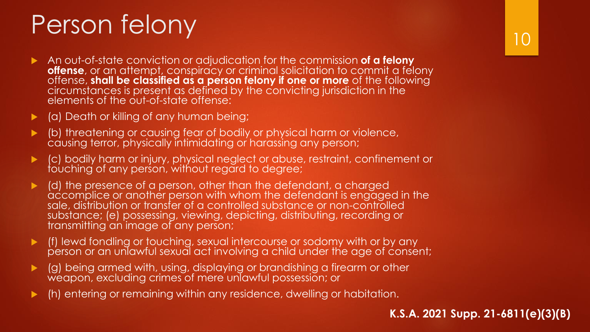## Person felony

- An out-of-state conviction or adjudication for the commission **of a felony offense**, or an attempt, conspiracy or criminal solicitation to commit a felony offense, **shall be classified as a person felony if one or more** of the following circumstances is present as defined by the convicting jurisdiction in the elements of the out-of-state offense:
- (a) Death or killing of any human being;
- (b) threatening or causing fear of bodily or physical harm or violence, causing terror, physically intimidating or harassing any person;
- (c) bodily harm or injury, physical neglect or abuse, restraint, confinement or touching of any person, without regard to degree;
- (d) the presence of a person, other than the defendant, a charged accomplice or another person with whom the defendant is engaged in the sale, distribution or transfer of a controlled substance or non-controlled substance; (e) possessing, viewing, depicting, distributing, recording or transmitting an image of any person;
- (f) lewd fondling or touching, sexual intercourse or sodomy with or by any person or an unlawful sexual act involving a child under the age of consent;
- (g) being armed with, using, displaying or brandishing a firearm or other weapon, excluding crimes of mere unlawful possession; or
- (h) entering or remaining within any residence, dwelling or habitation.

**K.S.A. 2021 Supp. 21-6811(e)(3)(B)**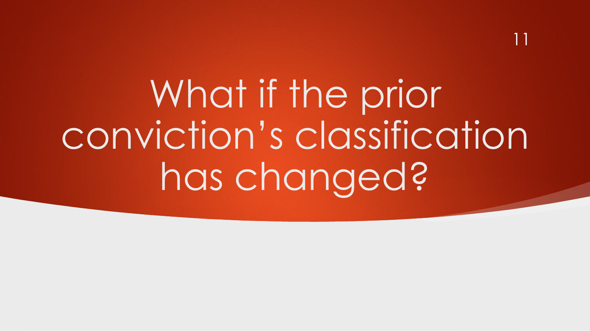What if the prior conviction's classification has changed?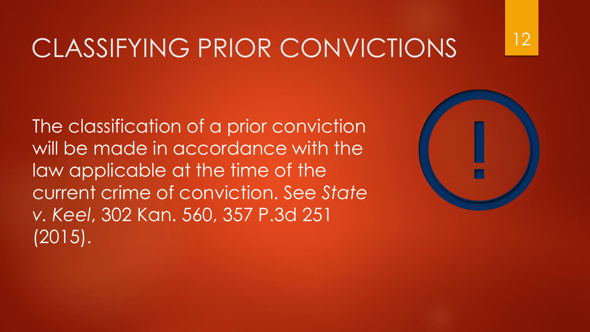## CLASSIFYING PRIOR CONVICTIONS

The classification of a prior conviction will be made in accordance with the law applicable at the time of the current crime of conviction. See *State v. Keel*, 302 Kan. 560, 357 P.3d 251 (2015).



12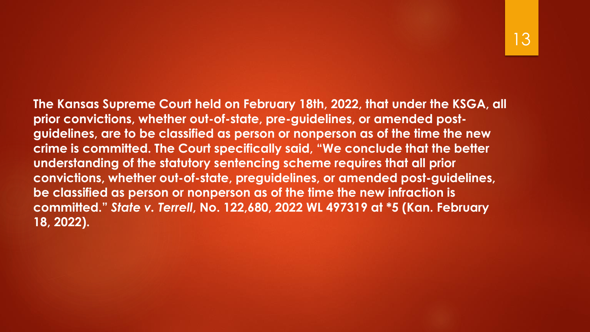**The Kansas Supreme Court held on February 18th, 2022, that under the KSGA, all prior convictions, whether out-of-state, pre-guidelines, or amended postguidelines, are to be classified as person or nonperson as of the time the new crime is committed. The Court specifically said, "We conclude that the better understanding of the statutory sentencing scheme requires that all prior convictions, whether out-of-state, preguidelines, or amended post-guidelines, be classified as person or nonperson as of the time the new infraction is committed."** *State v. Terrell***, No. 122,680, 2022 WL 497319 at \*5 (Kan. February 18, 2022).**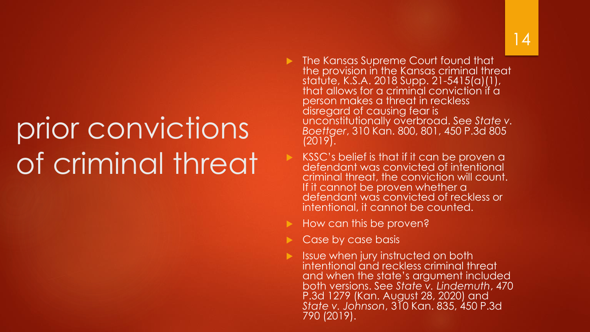# prior convictions of criminal threat

- **The Kansas Supreme Court found that** the provision in the Kansas criminal threat statute, K.S.A. 2018 Supp. 21-5415(a)(1), that allows for a criminal conviction if a person makes a threat in reckless disregard of causing fear is unconstitutionally overbroad. See *State v. Boettger*, 310 Kan. 800, 801, 450 P.3d 805  $(2019)$ .
- KSSC's belief is that if it can be proven a defendant was convicted of intentional criminal threat, the conviction will count. If it cannot be proven whether a defendant was convicted of reckless or intentional, it cannot be counted.
- How can this be proven?
- Case by case basis
- $\blacktriangleright$  Issue when jury instructed on both intentional and reckless criminal threat and when the state's argument included both versions. See *State v. Lindemuth*, 470 P.3d 1279 (Kan. August 28, 2020) and *State v. Johnson*, 310 Kan. 835, 450 P.3d 790 (2019).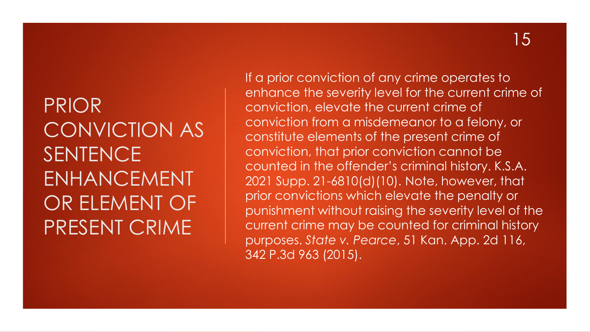#### PRIOR CONVICTION AS SENTENCE ENHANCEMENT OR ELEMENT OF PRESENT CRIME

If a prior conviction of any crime operates to enhance the severity level for the current crime of conviction, elevate the current crime of conviction from a misdemeanor to a felony, or constitute elements of the present crime of conviction, that prior conviction cannot be counted in the offender's criminal history. K.S.A. 2021 Supp. 21-6810(d)(10). Note, however, that prior convictions which elevate the penalty or punishment without raising the severity level of the current crime may be counted for criminal history purposes. *State v. Pearce*, 51 Kan. App. 2d 116, 342 P.3d 963 (2015).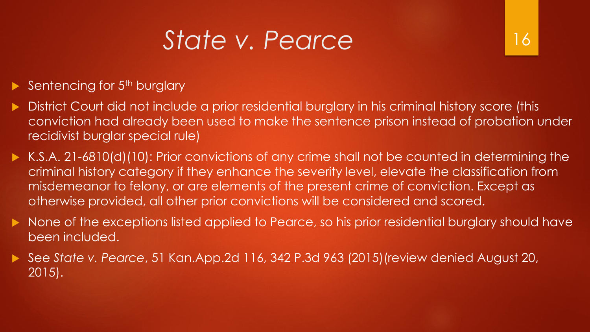## *State v. Pearce*

#### Sentencing for 5<sup>th</sup> burglary

- District Court did not include a prior residential burglary in his criminal history score (this conviction had already been used to make the sentence prison instead of probation under recidivist burglar special rule)
- K.S.A. 21-6810(d)(10): Prior convictions of any crime shall not be counted in determining the criminal history category if they enhance the severity level, elevate the classification from misdemeanor to felony, or are elements of the present crime of conviction. Except as otherwise provided, all other prior convictions will be considered and scored.
- None of the exceptions listed applied to Pearce, so his prior residential burglary should have been included.
- See *State v. Pearce*, 51 Kan.App.2d 116, 342 P.3d 963 (2015)(review denied August 20, 2015).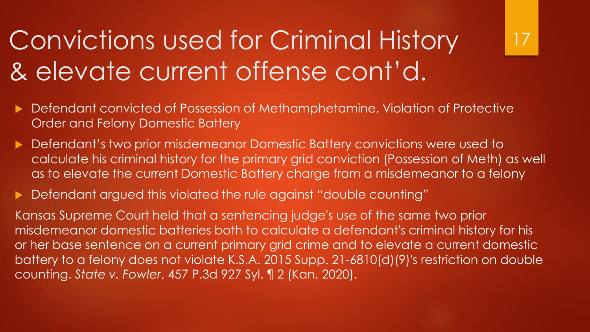# Convictions used for Criminal History & elevate current offense cont'd.

- Defendant convicted of Possession of Methamphetamine, Violation of Protective Order and Felony Domestic Battery
- ▶ Defendant's two prior misdemeanor Domestic Battery convictions were used to calculate his criminal history for the primary grid conviction (Possession of Meth) as well as to elevate the current Domestic Battery charge from a misdemeanor to a felony

17

Defendant argued this violated the rule against "double counting"

Kansas Supreme Court held that a sentencing judge's use of the same two prior misdemeanor domestic batteries both to calculate a defendant's criminal history for his or her base sentence on a current primary grid crime and to elevate a current domestic battery to a felony does not violate K.S.A. 2015 Supp. 21-6810(d)(9)'s restriction on double counting. *State v. Fowler*, 457 P.3d 927 Syl. ¶ 2 (Kan. 2020).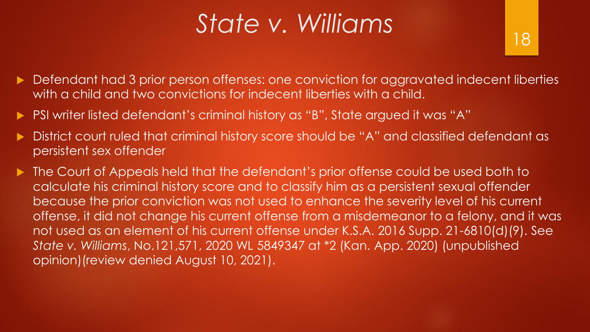## *State v. Williams*

- Defendant had 3 prior person offenses: one conviction for aggravated indecent liberties with a child and two convictions for indecent liberties with a child.
- PSI writer listed defendant's criminal history as "B", State argued it was "A"
- District court ruled that criminal history score should be "A" and classified defendant as persistent sex offender
- ▶ The Court of Appeals held that the defendant's prior offense could be used both to calculate his criminal history score and to classify him as a persistent sexual offender because the prior conviction was not used to enhance the severity level of his current offense, it did not change his current offense from a misdemeanor to a felony, and it was not used as an element of his current offense under K.S.A. 2016 Supp. 21-6810(d)(9). See *State v. Williams*, No.121,571, 2020 WL 5849347 at \*2 (Kan. App. 2020) (unpublished opinion)(review denied August 10, 2021).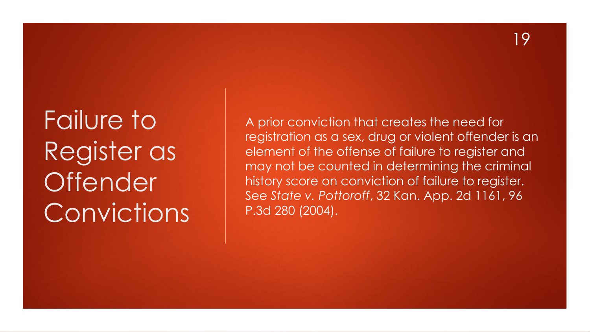# Failure to Register as **Offender** Convictions

A prior conviction that creates the need for registration as a sex, drug or violent offender is an element of the offense of failure to register and may not be counted in determining the criminal history score on conviction of failure to register. See *State v. Pottoroff*, 32 Kan. App. 2d 1161, 96 P.3d 280 (2004).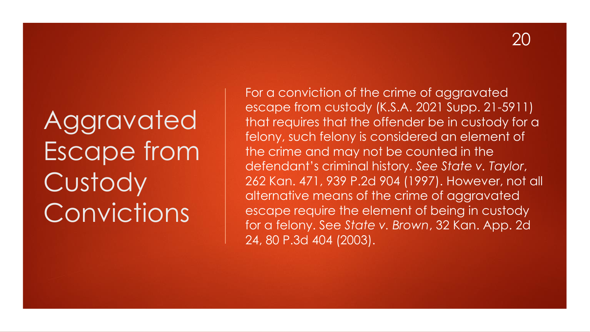# Aggravated Escape from **Custody** Convictions

For a conviction of the crime of aggravated escape from custody (K.S.A. 2021 Supp. 21-5911) that requires that the offender be in custody for a felony, such felony is considered an element of the crime and may not be counted in the defendant's criminal history. *See State v. Taylor*, 262 Kan. 471, 939 P.2d 904 (1997). However, not all alternative means of the crime of aggravated escape require the element of being in custody for a felony. See *State v. Brown*, 32 Kan. App. 2d 24, 80 P.3d 404 (2003).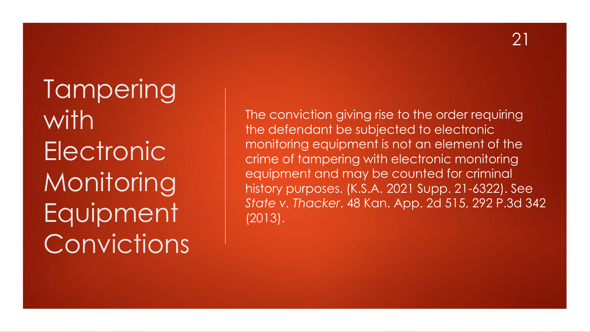**Tampering** with **Electronic Monitoring** Equipment Convictions

The conviction giving rise to the order requiring the defendant be subjected to electronic monitoring equipment is not an element of the crime of tampering with electronic monitoring equipment and may be counted for criminal history purposes. (K.S.A. 2021 Supp. 21-6322). See *State v. Thacker*, 48 Kan. App. 2d 515, 292 P.3d 342 (2013).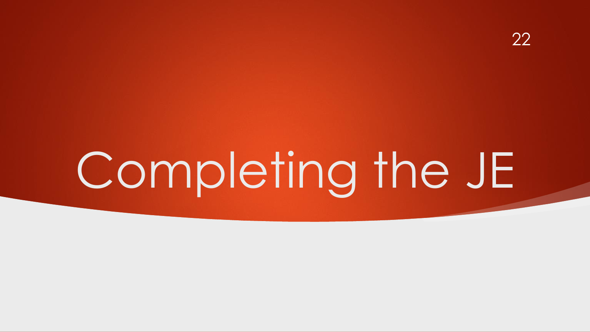# Completing the JE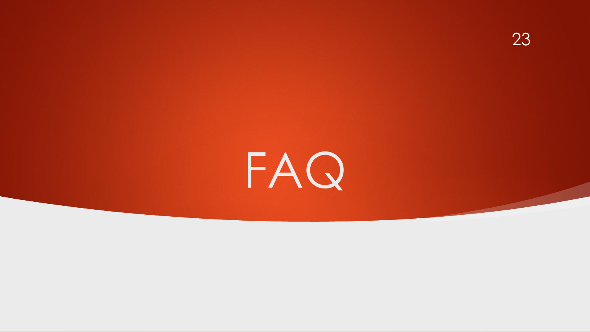

# FAQ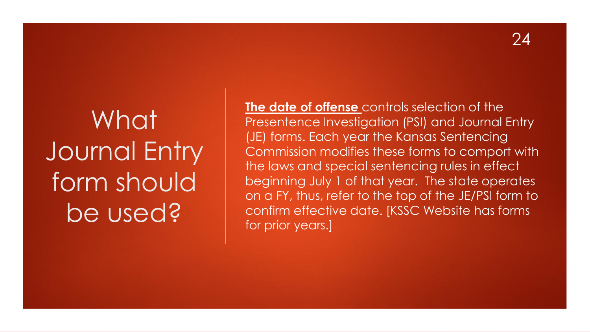# What Journal Entry form should be used?

**The date of offense** controls selection of the Presentence Investigation (PSI) and Journal Entry (JE) forms. Each year the Kansas Sentencing Commission modifies these forms to comport with the laws and special sentencing rules in effect beginning July 1 of that year. The state operates on a FY, thus, refer to the top of the JE/PSI form to confirm effective date. [KSSC Website has forms for prior years.]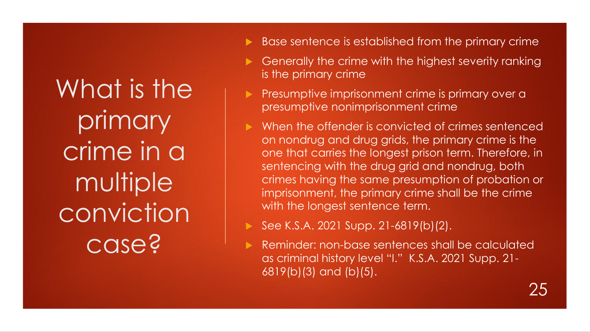What is the primary crime in a multiple conviction case?

- Base sentence is established from the primary crime
- Generally the crime with the highest severity ranking is the primary crime
- Presumptive imprisonment crime is primary over a presumptive nonimprisonment crime
- When the offender is convicted of crimes sentenced on nondrug and drug grids, the primary crime is the one that carries the longest prison term. Therefore, in sentencing with the drug grid and nondrug, both crimes having the same presumption of probation or imprisonment, the primary crime shall be the crime with the longest sentence term.
	- See K.S.A. 2021 Supp. 21-6819(b)(2).
	- Reminder: non-base sentences shall be calculated as criminal history level "I." K.S.A. 2021 Supp. 21- 6819(b)(3) and (b)(5).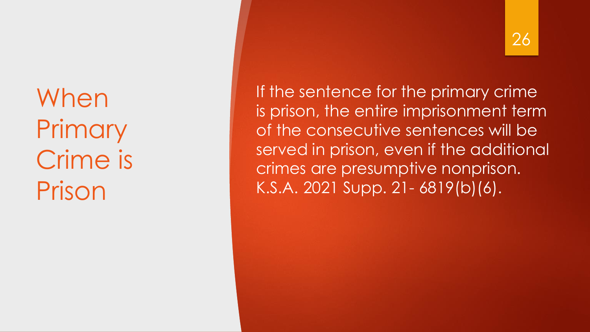When **Primary** Crime is Prison

#### 26

If the sentence for the primary crime is prison, the entire imprisonment term of the consecutive sentences will be served in prison, even if the additional crimes are presumptive nonprison. K.S.A. 2021 Supp. 21- 6819(b)(6).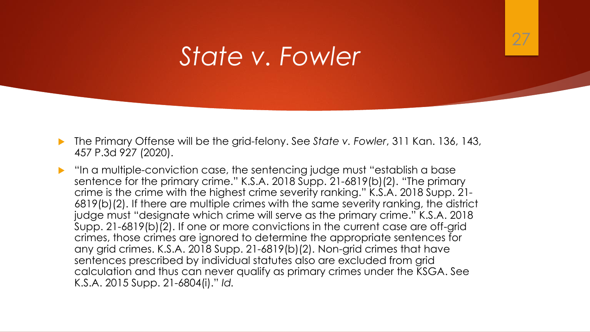

#### *State v. Fowler*

- The Primary Offense will be the grid-felony. See *State v. Fowler*, 311 Kan. 136, 143, 457 P.3d 927 (2020).
- "In a multiple-conviction case, the sentencing judge must "establish a base sentence for the primary crime." K.S.A. 2018 Supp. 21-6819(b)(2). "The primary crime is the crime with the highest crime severity ranking." K.S.A. 2018 Supp. 21- 6819(b)(2). If there are multiple crimes with the same severity ranking, the district judge must "designate which crime will serve as the primary crime." K.S.A. 2018 Supp. 21-6819(b)(2). If one or more convictions in the current case are off-grid crimes, those crimes are ignored to determine the appropriate sentences for any grid crimes. K.S.A. 2018 Supp. 21-6819(b)(2). Non-grid crimes that have sentences prescribed by individual statutes also are excluded from grid calculation and thus can never qualify as primary crimes under the KSGA. See K.S.A. 2015 Supp. 21-6804(i)." *Id.*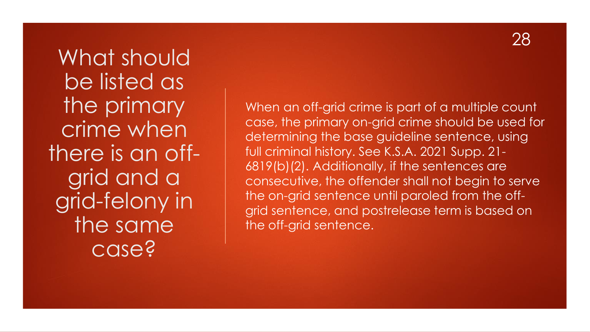What should be listed as the primary crime when there is an offgrid and a grid-felony in the same case?

When an off-grid crime is part of a multiple count case, the primary on-grid crime should be used for determining the base guideline sentence, using full criminal history. See K.S.A. 2021 Supp. 21- 6819(b)(2). Additionally, if the sentences are consecutive, the offender shall not begin to serve the on-grid sentence until paroled from the offgrid sentence, and postrelease term is based on the off-grid sentence.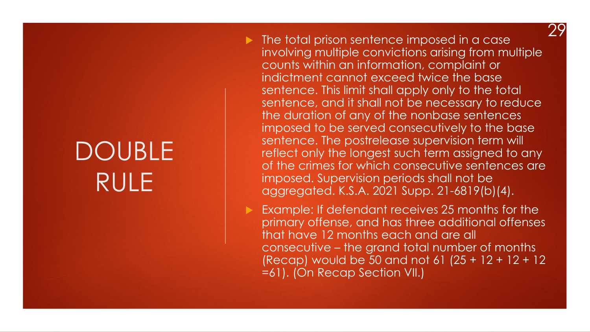### DOUBLE RULE

 $\blacktriangleright$  The total prison sentence imposed in a case involving multiple convictions arising from multiple counts within an information, complaint or indictment cannot exceed twice the base sentence. This limit shall apply only to the total sentence, and it shall not be necessary to reduce the duration of any of the nonbase sentences imposed to be served consecutively to the base sentence. The postrelease supervision term will reflect only the longest such term assigned to any of the crimes for which consecutive sentences are imposed. Supervision periods shall not be aggregated. K.S.A. 2021 Supp. 21-6819(b)(4). 29

 Example: If defendant receives 25 months for the primary offense, and has three additional offenses that have 12 months each and are all consecutive – the grand total number of months (Recap) would be 50 and not 61 (25 + 12 + 12 + 12 =61). (On Recap Section VII.)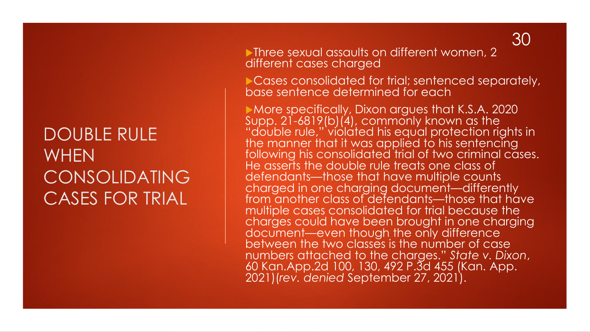#### DOUBLE RULE **WHEN** CONSOLIDATING CASES FOR TRIAL

**Three sexual assaults on different women, 2** different cases charged

Cases consolidated for trial; sentenced separately, base sentence determined for each

More specifically, Dixon argues that K.S.A. 2020 Supp. 21-6819(b) $(4)$ , commonly known as the "double rule," violated his equal protection rights in the manner that it was applied to his sentencing following his consolidated trial of two criminal cases. He asserts the double rule treats one class of defendants—those that have multiple counts charged in one charging document—differently from another class of defendants—those that have multiple cases consolidated for trial because the charges could have been brought in one charging document—even though the only difference between the two classes is the number of case numbers attached to the charges." *State v. Dixon*, 60 Kan.App.2d 100, 130, 492 P.3d 455 (Kan. App. 2021)(*rev. denied* September 27, 2021).

30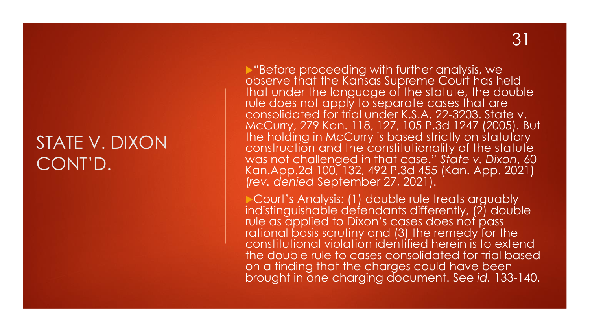#### STATE V. DIXON CONT'D.

▶ "Before proceeding with further analysis, we observe that the Kansas Supreme Court has held that under the language of the statute, the double rule does not apply to separate cases that are consolidated for trial under K.S.A. 22-3203. State v. McCurry, 279 Kan. 118, 127, 105 P.3d 1247 (2005). But the holding in McCurry is based strictly on statutory construction and the constitutionality of the statute was not challenged in that case." *State v. Dixon*, 60 Kan.App.2d 100, 132, 492 P.3d 455 (Kan. App. 2021) (*rev. denied* September 27, 2021).

Court's Analysis: (1) double rule treats arguably indistinguishable defendants differently, (2) double rule as applied to Dixon's cases does not pass rational basis scrutiny and (3) the remedy for the constitutional violation identified herein is to extend the double rule to cases consolidated for trial based on a finding that the charges could have been brought in one charging document. See *id.* 133-140.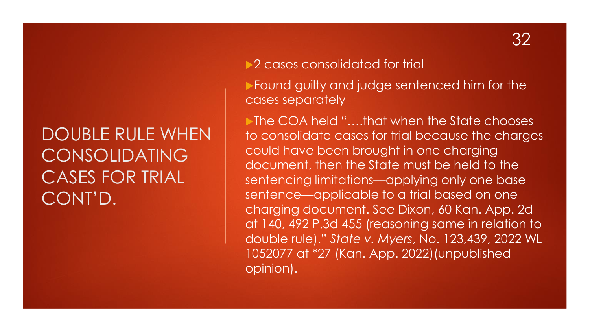#### DOUBLE RULE WHEN CONSOLIDATING CASES FOR TRIAL CONT'D.

▶ 2 cases consolidated for trial

**Found guilty and judge sentenced him for the** cases separately

▶ The COA held "....that when the State chooses to consolidate cases for trial because the charges could have been brought in one charging document, then the State must be held to the sentencing limitations—applying only one base sentence—applicable to a trial based on one charging document. See Dixon, 60 Kan. App. 2d at 140, 492 P.3d 455 (reasoning same in relation to double rule)." *State v. Myers*, No. 123,439, 2022 WL 1052077 at \*27 (Kan. App. 2022)(unpublished opinion).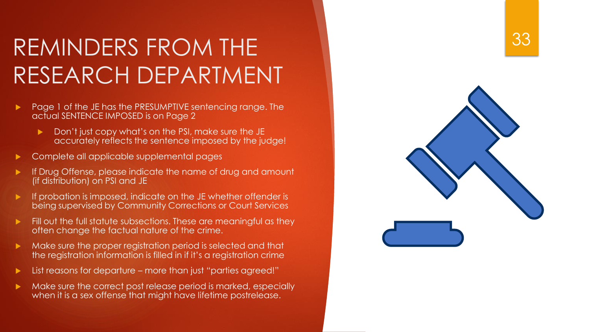### REMINDERS FROM THE RESEARCH DEPARTMENT

- Page 1 of the JE has the PRESUMPTIVE sentencing range. The actual SENTENCE IMPOSED is on Page 2
	- Don't just copy what's on the PSI, make sure the JE accurately reflects the sentence imposed by the judge!
- Complete all applicable supplemental pages
- If Drug Offense, please indicate the name of drug and amount (if distribution) on PSI and JE
- If probation is imposed, indicate on the JE whether offender is being supervised by Community Corrections or Court Services
- $\blacktriangleright$  Fill out the full statute subsections. These are meaningful as they often change the factual nature of the crime.
- Make sure the proper registration period is selected and that the registration information is filled in if it's a registration crime
- List reasons for departure more than just "parties agreed!"
- Make sure the correct post release period is marked, especially when it is a sex offense that might have lifetime postrelease .

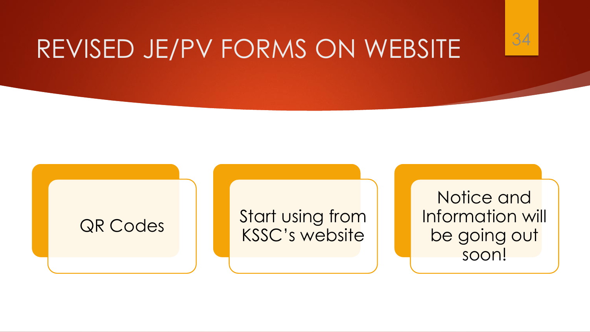## REVISED JE/PV FORMS ON WEBSITE



QR Codes Start using from KSSC's website

Notice and Information will be going out soon!

34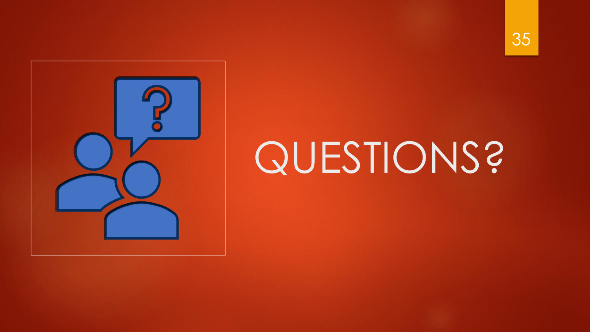



# QUESTIONS?